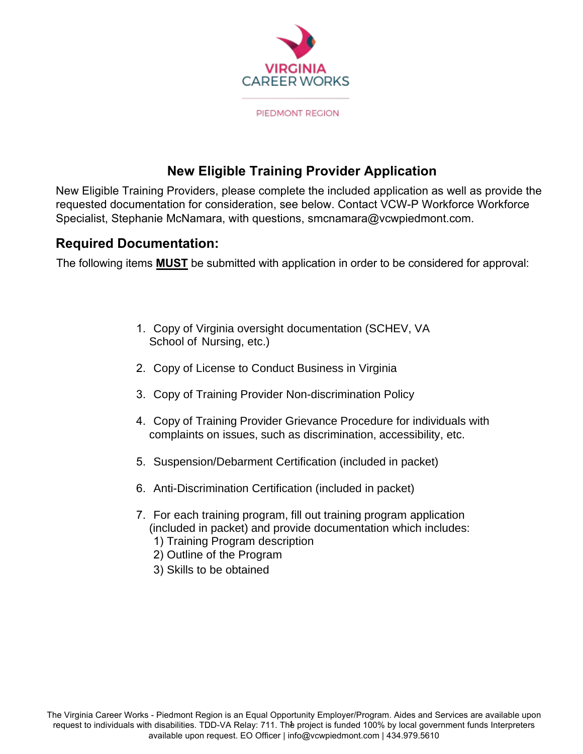

## **New Eligible Training Provider Application**

New Eligible Training Providers, please complete the included application as well as provide the requested documentation for consideration, see below. Contact VCW-P Workforce Workforce Specialist, Stephanie McNamara, with questions, smcnamara@vcwpiedmont.com.

### **Required Documentation:**

The following items **MUST** be submitted with application in order to be considered for approval:

- 1. Copy of Virginia oversight documentation (SCHEV, VA School of Nursing, etc.)
- 2. Copy of License to Conduct Business in Virginia
- 3. Copy of Training Provider Non-discrimination Policy
- 4. Copy of Training Provider Grievance Procedure for individuals with complaints on issues, such as discrimination, accessibility, etc.
- 5. Suspension/Debarment Certification (included in packet)
- 6. Anti-Discrimination Certification (included in packet)
- 7. For each training program, fill out training program application (included in packet) and provide documentation which includes: 1) Training Program description
	- 2) Outline of the Program
	- 3) Skills to be obtained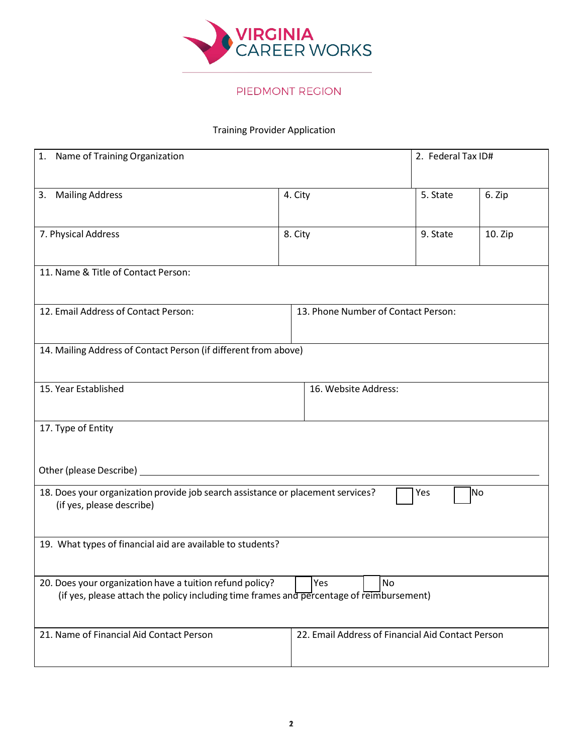

#### PIEDMONT REGION

#### Training Provider Application

| 1. Name of Training Organization                                                                                                                                  |                                                                 | 2. Federal Tax ID#                                |           |           |
|-------------------------------------------------------------------------------------------------------------------------------------------------------------------|-----------------------------------------------------------------|---------------------------------------------------|-----------|-----------|
| 3. Mailing Address                                                                                                                                                | 4. City                                                         |                                                   | 5. State  | 6. Zip    |
| 7. Physical Address                                                                                                                                               | 8. City                                                         |                                                   | 9. State  | $10.$ Zip |
| 11. Name & Title of Contact Person:                                                                                                                               |                                                                 |                                                   |           |           |
| 12. Email Address of Contact Person:                                                                                                                              | 13. Phone Number of Contact Person:                             |                                                   |           |           |
|                                                                                                                                                                   | 14. Mailing Address of Contact Person (if different from above) |                                                   |           |           |
| 15. Year Established                                                                                                                                              | 16. Website Address:                                            |                                                   |           |           |
| 17. Type of Entity                                                                                                                                                |                                                                 |                                                   |           |           |
| Other (please Describe) _                                                                                                                                         |                                                                 |                                                   |           |           |
| 18. Does your organization provide job search assistance or placement services?<br>(if yes, please describe)                                                      |                                                                 |                                                   | No<br>Yes |           |
| 19. What types of financial aid are available to students?                                                                                                        |                                                                 |                                                   |           |           |
| Yes<br>No<br>20. Does your organization have a tuition refund policy?<br>(if yes, please attach the policy including time frames and percentage of reimbursement) |                                                                 |                                                   |           |           |
| 21. Name of Financial Aid Contact Person                                                                                                                          |                                                                 | 22. Email Address of Financial Aid Contact Person |           |           |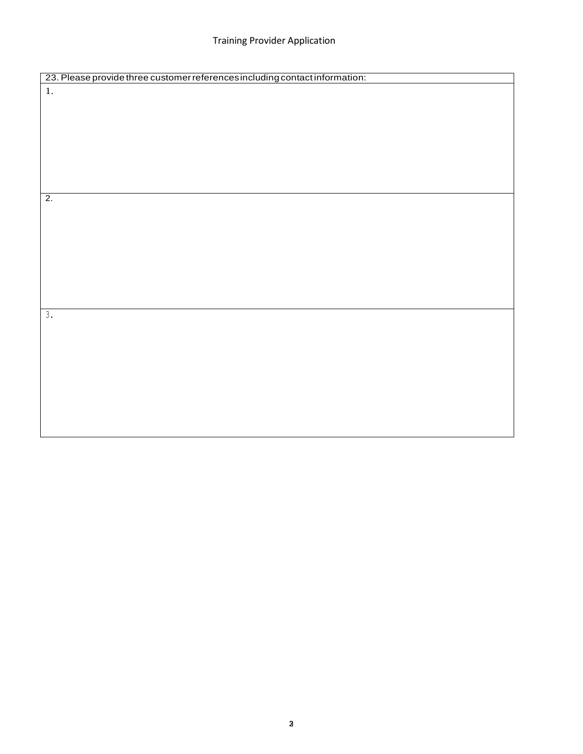#### Training Provider Application

| 23. Please provide three customer references including contact information: |  |  |  |
|-----------------------------------------------------------------------------|--|--|--|
| 1.                                                                          |  |  |  |
|                                                                             |  |  |  |
|                                                                             |  |  |  |
|                                                                             |  |  |  |
|                                                                             |  |  |  |
|                                                                             |  |  |  |
|                                                                             |  |  |  |
|                                                                             |  |  |  |
|                                                                             |  |  |  |
|                                                                             |  |  |  |
| $\overline{2}$ .                                                            |  |  |  |
|                                                                             |  |  |  |
|                                                                             |  |  |  |
|                                                                             |  |  |  |
|                                                                             |  |  |  |
|                                                                             |  |  |  |
|                                                                             |  |  |  |
|                                                                             |  |  |  |
|                                                                             |  |  |  |
|                                                                             |  |  |  |
| 3.                                                                          |  |  |  |
|                                                                             |  |  |  |
|                                                                             |  |  |  |
|                                                                             |  |  |  |
|                                                                             |  |  |  |
|                                                                             |  |  |  |
|                                                                             |  |  |  |
|                                                                             |  |  |  |
|                                                                             |  |  |  |
|                                                                             |  |  |  |
|                                                                             |  |  |  |
|                                                                             |  |  |  |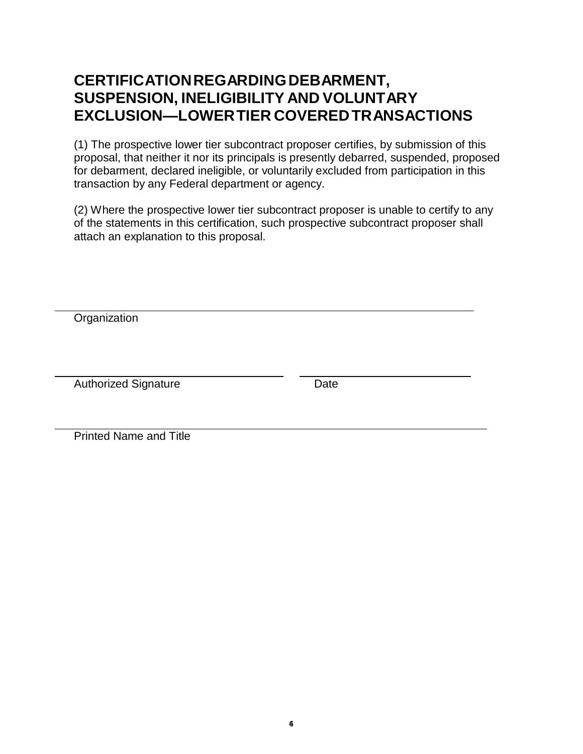# **CERTIFICATION REGARDING DEBARMENT, SUSPENSION, INELIGIBILITY AND VOLUNTARY EXCLUSION—LOWER TIER COVERED TRANSACTIONS**

(1) The prospective lower tier subcontract proposer certifies, by submission of this proposal, that neither it nor its principals is presently debarred, suspended, proposed for debarment, declared ineligible, or voluntarily excluded from participation in this transaction by any Federal department or agency.

(2) Where the prospective lower tier subcontract proposer is unable to certify to any of the statements in this certification, such prospective subcontract proposer shall attach an explanation to this proposal.

**Organization** 

Authorized Signature **Date** 

Printed Name and Title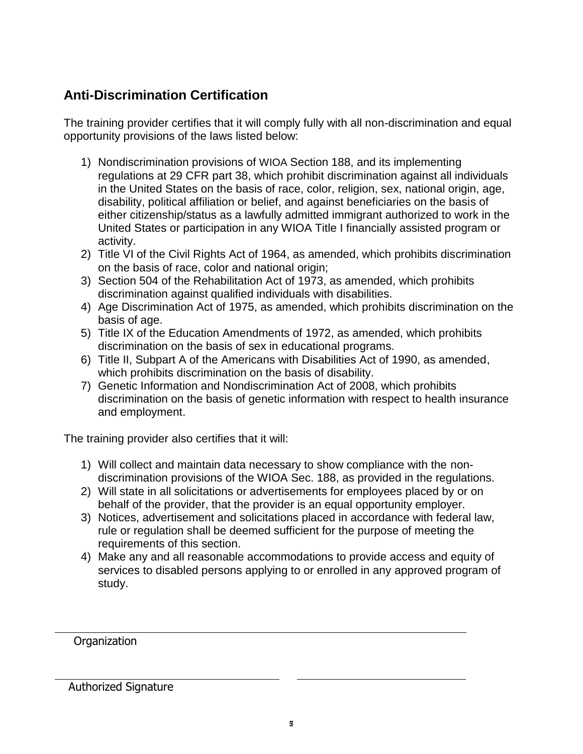# **Anti-Discrimination Certification**

The training provider certifies that it will comply fully with all non-discrimination and equal opportunity provisions of the laws listed below:

- 1) Nondiscrimination provisions of WIOA Section 188, and its implementing regulations at 29 CFR part 38, which prohibit discrimination against all individuals in the United States on the basis of race, color, religion, sex, national origin, age, disability, political affiliation or belief, and against beneficiaries on the basis of either citizenship/status as a lawfully admitted immigrant authorized to work in the United States or participation in any WIOA Title I financially assisted program or activity.
- 2) Title VI of the Civil Rights Act of 1964, as amended, which prohibits discrimination on the basis of race, color and national origin;
- 3) Section 504 of the Rehabilitation Act of 1973, as amended, which prohibits discrimination against qualified individuals with disabilities.
- 4) Age Discrimination Act of 1975, as amended, which prohibits discrimination on the basis of age.
- 5) Title IX of the Education Amendments of 1972, as amended, which prohibits discrimination on the basis of sex in educational programs.
- 6) Title II, Subpart A of the Americans with Disabilities Act of 1990, as amended, which prohibits discrimination on the basis of disability.
- 7) Genetic Information and Nondiscrimination Act of 2008, which prohibits discrimination on the basis of genetic information with respect to health insurance and employment.

The training provider also certifies that it will:

- 1) Will collect and maintain data necessary to show compliance with the nondiscrimination provisions of the WIOA Sec. 188, as provided in the regulations.
- 2) Will state in all solicitations or advertisements for employees placed by or on behalf of the provider, that the provider is an equal opportunity employer.
- 3) Notices, advertisement and solicitations placed in accordance with federal law, rule or regulation shall be deemed sufficient for the purpose of meeting the requirements of this section.
- 4) Make any and all reasonable accommodations to provide access and equity of services to disabled persons applying to or enrolled in any approved program of study.

**Organization** 

Authorized Signature